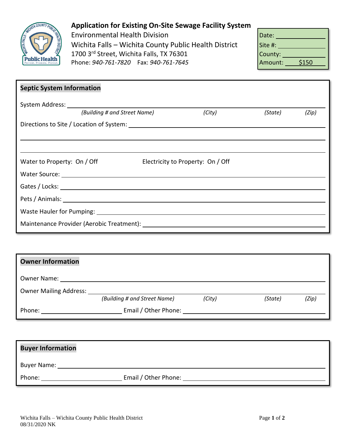

## **Application for Existing On-Site Sewage Facility System**

Environmental Health Division Wichita Falls - Wichita County Public Health District 1700 3<sup>rd</sup> Street, Wichita Falls, TX 76301 Phone: 940-761-7820 Fax: 940-761-7645

| Date:   |       |
|---------|-------|
| Site #: |       |
| County: |       |
| Amount: | \$150 |

| <b>Septic System Information</b>                                                                                                                                                                                               |                                                                                                                                                                                                                                |                                   |        |         |       |
|--------------------------------------------------------------------------------------------------------------------------------------------------------------------------------------------------------------------------------|--------------------------------------------------------------------------------------------------------------------------------------------------------------------------------------------------------------------------------|-----------------------------------|--------|---------|-------|
|                                                                                                                                                                                                                                | (Building # and Street Name)                                                                                                                                                                                                   |                                   | (City) | (State) | (Zip) |
| Directions to Site / Location of System: North and the Control of System in the Control of System in the Control of System in the Control of System in the Control of System in the Control of System in the Control of System |                                                                                                                                                                                                                                |                                   |        |         |       |
|                                                                                                                                                                                                                                |                                                                                                                                                                                                                                |                                   |        |         |       |
|                                                                                                                                                                                                                                |                                                                                                                                                                                                                                |                                   |        |         |       |
| Water to Property: On / Off                                                                                                                                                                                                    |                                                                                                                                                                                                                                | Electricity to Property: On / Off |        |         |       |
|                                                                                                                                                                                                                                |                                                                                                                                                                                                                                |                                   |        |         |       |
|                                                                                                                                                                                                                                |                                                                                                                                                                                                                                |                                   |        |         |       |
|                                                                                                                                                                                                                                | Pets / Animals: National Animals: National Animals: National Animals: National Animals: National Animals: National Animals: National Animals: National Animals: National Animals: National Animals: National Animals: National |                                   |        |         |       |
|                                                                                                                                                                                                                                |                                                                                                                                                                                                                                |                                   |        |         |       |
|                                                                                                                                                                                                                                | Maintenance Provider (Aerobic Treatment): National State of the Maintenance Provider                                                                                                                                           |                                   |        |         |       |

| <b>Owner Information</b>                                                                                                                                                                                                       |                                                                                                                                                                                                                                |        |         |       |
|--------------------------------------------------------------------------------------------------------------------------------------------------------------------------------------------------------------------------------|--------------------------------------------------------------------------------------------------------------------------------------------------------------------------------------------------------------------------------|--------|---------|-------|
| Owner Name: The contract of the contract of the contract of the contract of the contract of the contract of the contract of the contract of the contract of the contract of the contract of the contract of the contract of th |                                                                                                                                                                                                                                |        |         |       |
| <b>Owner Mailing Address:</b>                                                                                                                                                                                                  |                                                                                                                                                                                                                                |        |         |       |
|                                                                                                                                                                                                                                | (Building # and Street Name)                                                                                                                                                                                                   | (City) | (State) | (Zip) |
| Phone:                                                                                                                                                                                                                         | Email / Other Phone: The Contract of the Contract of the Contract of the Contract of the Contract of the Contract of the Contract of the Contract of the Contract of the Contract of the Contract of the Contract of the Contr |        |         |       |

| <b>Buyer Information</b> |                      |  |  |
|--------------------------|----------------------|--|--|
| <b>Buyer Name:</b>       |                      |  |  |
| Phone:                   | Email / Other Phone: |  |  |